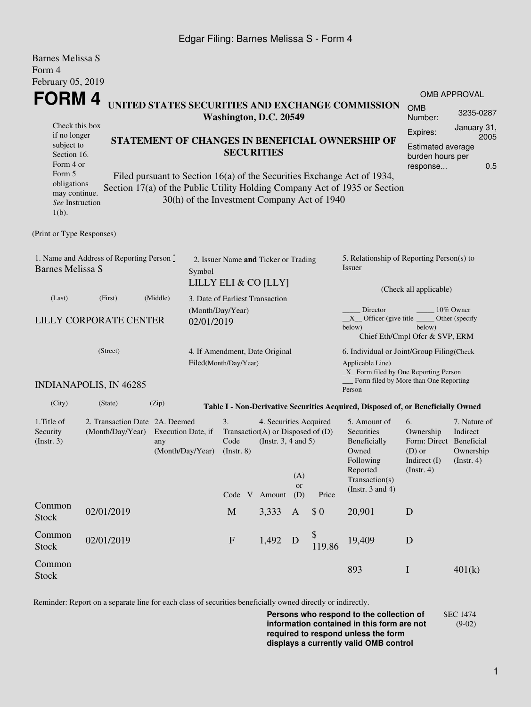## Edgar Filing: Barnes Melissa S - Form 4

Barnes Melissa S

| Dariies Meiissa S<br>Form 4                                                                             |                                                                                                                                                                                                                                                                                                                                                                                                                                                                                                                          |                        |                                                              |                                                                                                            |                         |              |                                                                                                                                                                              |                                                                                       |                                                                                                                                                                 |  |
|---------------------------------------------------------------------------------------------------------|--------------------------------------------------------------------------------------------------------------------------------------------------------------------------------------------------------------------------------------------------------------------------------------------------------------------------------------------------------------------------------------------------------------------------------------------------------------------------------------------------------------------------|------------------------|--------------------------------------------------------------|------------------------------------------------------------------------------------------------------------|-------------------------|--------------|------------------------------------------------------------------------------------------------------------------------------------------------------------------------------|---------------------------------------------------------------------------------------|-----------------------------------------------------------------------------------------------------------------------------------------------------------------|--|
| Form 5<br>$1(b)$ .                                                                                      | February 05, 2019<br>FORM 4<br>UNITED STATES SECURITIES AND EXCHANGE COMMISSION<br>Washington, D.C. 20549<br>Check this box<br>if no longer<br>STATEMENT OF CHANGES IN BENEFICIAL OWNERSHIP OF<br>subject to<br><b>SECURITIES</b><br>Section 16.<br>Form 4 or<br>Filed pursuant to Section 16(a) of the Securities Exchange Act of 1934,<br>obligations<br>Section 17(a) of the Public Utility Holding Company Act of 1935 or Section<br>may continue.<br>30(h) of the Investment Company Act of 1940<br>See Instruction |                        |                                                              |                                                                                                            |                         |              |                                                                                                                                                                              |                                                                                       | <b>OMB APPROVAL</b><br><b>OMB</b><br>3235-0287<br>Number:<br>January 31,<br>Expires:<br>2005<br><b>Estimated average</b><br>burden hours per<br>0.5<br>response |  |
| (Print or Type Responses)                                                                               |                                                                                                                                                                                                                                                                                                                                                                                                                                                                                                                          |                        |                                                              |                                                                                                            |                         |              |                                                                                                                                                                              |                                                                                       |                                                                                                                                                                 |  |
| 1. Name and Address of Reporting Person $\stackrel{*}{\mathbb{L}}$<br><b>Barnes Melissa S</b><br>Symbol |                                                                                                                                                                                                                                                                                                                                                                                                                                                                                                                          |                        | 2. Issuer Name and Ticker or Trading<br>LILLY ELI & CO [LLY] |                                                                                                            |                         |              | 5. Relationship of Reporting Person(s) to<br>Issuer                                                                                                                          |                                                                                       |                                                                                                                                                                 |  |
| (Last)                                                                                                  | (First)<br>LILLY CORPORATE CENTER                                                                                                                                                                                                                                                                                                                                                                                                                                                                                        | (Middle)<br>02/01/2019 | 3. Date of Earliest Transaction<br>(Month/Day/Year)          |                                                                                                            |                         |              | (Check all applicable)<br>Director<br>10% Owner<br>$X$ Officer (give title $\overline{\phantom{a}}$<br>Other (specify)<br>below)<br>below)<br>Chief Eth/Cmpl Ofcr & SVP, ERM |                                                                                       |                                                                                                                                                                 |  |
|                                                                                                         | (Street)<br><b>INDIANAPOLIS, IN 46285</b>                                                                                                                                                                                                                                                                                                                                                                                                                                                                                |                        | 4. If Amendment, Date Original<br>Filed(Month/Day/Year)      |                                                                                                            |                         |              | 6. Individual or Joint/Group Filing(Check<br>Applicable Line)<br>$\_X$ Form filed by One Reporting Person<br>Form filed by More than One Reporting<br>Person                 |                                                                                       |                                                                                                                                                                 |  |
| (City)                                                                                                  | (State)                                                                                                                                                                                                                                                                                                                                                                                                                                                                                                                  | (Zip)                  |                                                              |                                                                                                            |                         |              | Table I - Non-Derivative Securities Acquired, Disposed of, or Beneficially Owned                                                                                             |                                                                                       |                                                                                                                                                                 |  |
| 1. Title of<br>Security<br>(Insert. 3)                                                                  | 2. Transaction Date 2A. Deemed<br>(Month/Day/Year)<br>Execution Date, if<br>any<br>(Month/Day/Year)                                                                                                                                                                                                                                                                                                                                                                                                                      |                        | 3.<br>Code<br>$($ Instr. $8)$                                | 4. Securities Acquired<br>Transaction(A) or Disposed of $(D)$<br>(Instr. $3, 4$ and $5$ )<br>Code V Amount | (A)<br><b>or</b><br>(D) | Price        | 5. Amount of<br>Securities<br>Beneficially<br>Owned<br>Following<br>Reported<br>Transaction(s)<br>(Instr. $3$ and $4$ )                                                      | 6.<br>Ownership<br>Form: Direct Beneficial<br>$(D)$ or<br>Indirect (I)<br>(Insert. 4) | 7. Nature of<br>Indirect<br>Ownership<br>$($ Instr. 4 $)$                                                                                                       |  |
| Common<br><b>Stock</b>                                                                                  | 02/01/2019                                                                                                                                                                                                                                                                                                                                                                                                                                                                                                               |                        | $\mathbf M$                                                  | 3,333                                                                                                      | $\mathbf{A}$            | \$0          | 20,901                                                                                                                                                                       | D                                                                                     |                                                                                                                                                                 |  |
| Common<br><b>Stock</b>                                                                                  | 02/01/2019                                                                                                                                                                                                                                                                                                                                                                                                                                                                                                               |                        | $\boldsymbol{\mathrm{F}}$                                    | 1,492                                                                                                      | D                       | \$<br>119.86 | 19,409                                                                                                                                                                       | D                                                                                     |                                                                                                                                                                 |  |
| Common<br><b>Stock</b>                                                                                  |                                                                                                                                                                                                                                                                                                                                                                                                                                                                                                                          |                        |                                                              |                                                                                                            |                         |              | 893                                                                                                                                                                          | $\mathbf I$                                                                           | 401(k)                                                                                                                                                          |  |

Reminder: Report on a separate line for each class of securities beneficially owned directly or indirectly.

**Persons who respond to the collection of information contained in this form are not required to respond unless the form displays a currently valid OMB control** SEC 1474 (9-02)